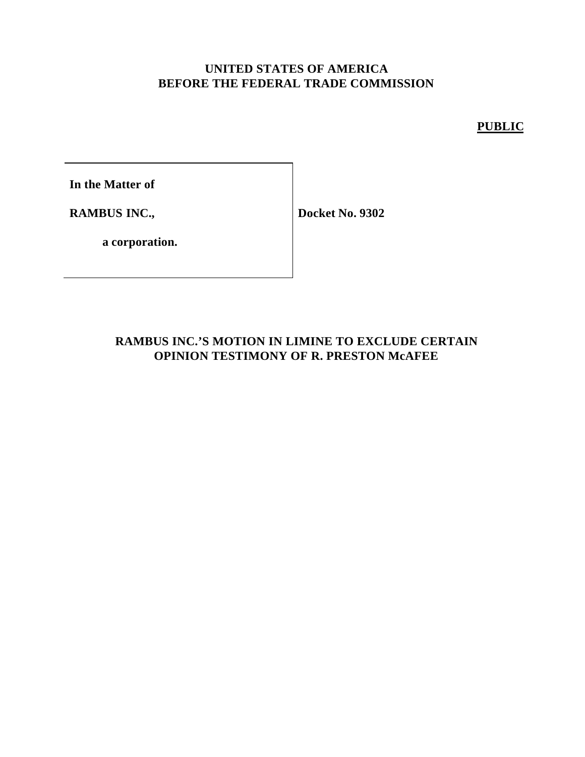#### **UNITED STATES OF AMERICA BEFORE THE FEDERAL TRADE COMMISSION**

**PUBLIC**

**In the Matter of**

**RAMBUS INC.,**

**Docket No. 9302**

**a corporation.**

### **RAMBUS INC.'S MOTION IN LIMINE TO EXCLUDE CERTAIN OPINION TESTIMONY OF R. PRESTON McAFEE**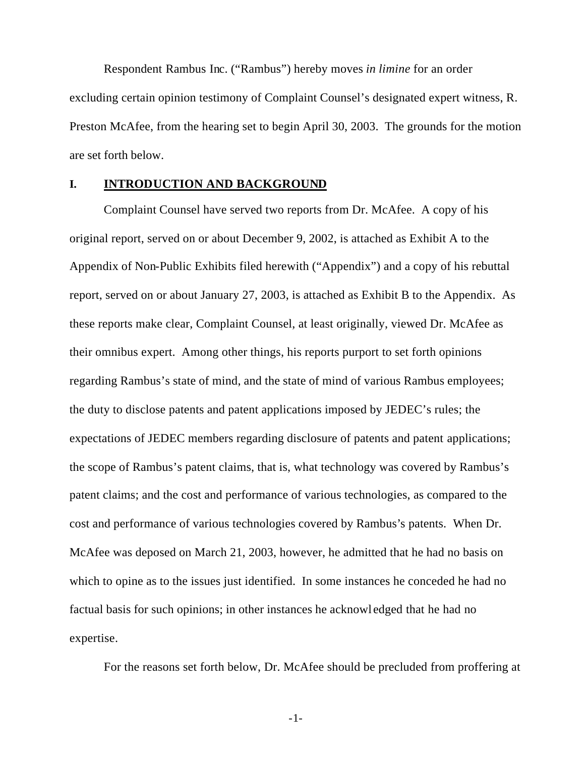Respondent Rambus Inc. ("Rambus") hereby moves *in limine* for an order excluding certain opinion testimony of Complaint Counsel's designated expert witness, R. Preston McAfee, from the hearing set to begin April 30, 2003. The grounds for the motion are set forth below.

#### **I. INTRODUCTION AND BACKGROUND**

Complaint Counsel have served two reports from Dr. McAfee. A copy of his original report, served on or about December 9, 2002, is attached as Exhibit A to the Appendix of Non-Public Exhibits filed herewith ("Appendix") and a copy of his rebuttal report, served on or about January 27, 2003, is attached as Exhibit B to the Appendix. As these reports make clear, Complaint Counsel, at least originally, viewed Dr. McAfee as their omnibus expert. Among other things, his reports purport to set forth opinions regarding Rambus's state of mind, and the state of mind of various Rambus employees; the duty to disclose patents and patent applications imposed by JEDEC's rules; the expectations of JEDEC members regarding disclosure of patents and patent applications; the scope of Rambus's patent claims, that is, what technology was covered by Rambus's patent claims; and the cost and performance of various technologies, as compared to the cost and performance of various technologies covered by Rambus's patents. When Dr. McAfee was deposed on March 21, 2003, however, he admitted that he had no basis on which to opine as to the issues just identified. In some instances he conceded he had no factual basis for such opinions; in other instances he acknowl edged that he had no expertise.

For the reasons set forth below, Dr. McAfee should be precluded from proffering at

-1-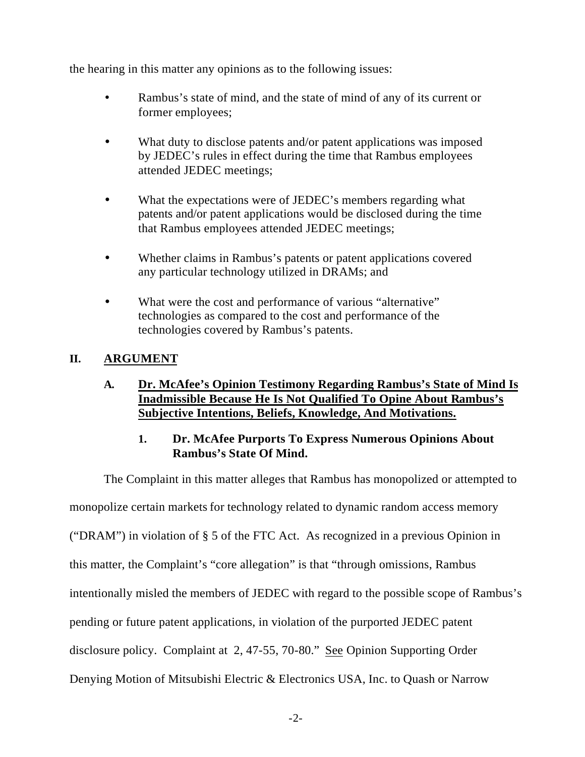the hearing in this matter any opinions as to the following issues:

- Rambus's state of mind, and the state of mind of any of its current or former employees;
- What duty to disclose patents and/or patent applications was imposed by JEDEC's rules in effect during the time that Rambus employees attended JEDEC meetings;
- What the expectations were of JEDEC's members regarding what patents and/or patent applications would be disclosed during the time that Rambus employees attended JEDEC meetings;
- Whether claims in Rambus's patents or patent applications covered any particular technology utilized in DRAMs; and
- What were the cost and performance of various "alternative" technologies as compared to the cost and performance of the technologies covered by Rambus's patents.

### **II. ARGUMENT**

#### **A. Dr. McAfee's Opinion Testimony Regarding Rambus's State of Mind Is Inadmissible Because He Is Not Qualified To Opine About Rambus's Subjective Intentions, Beliefs, Knowledge, And Motivations.**

#### **1. Dr. McAfee Purports To Express Numerous Opinions About Rambus's State Of Mind.**

The Complaint in this matter alleges that Rambus has monopolized or attempted to

monopolize certain markets for technology related to dynamic random access memory

("DRAM") in violation of § 5 of the FTC Act. As recognized in a previous Opinion in

this matter, the Complaint's "core allegation" is that "through omissions, Rambus

intentionally misled the members of JEDEC with regard to the possible scope of Rambus's

pending or future patent applications, in violation of the purported JEDEC patent

disclosure policy. Complaint at 2, 47-55, 70-80." See Opinion Supporting Order

Denying Motion of Mitsubishi Electric & Electronics USA, Inc. to Quash or Narrow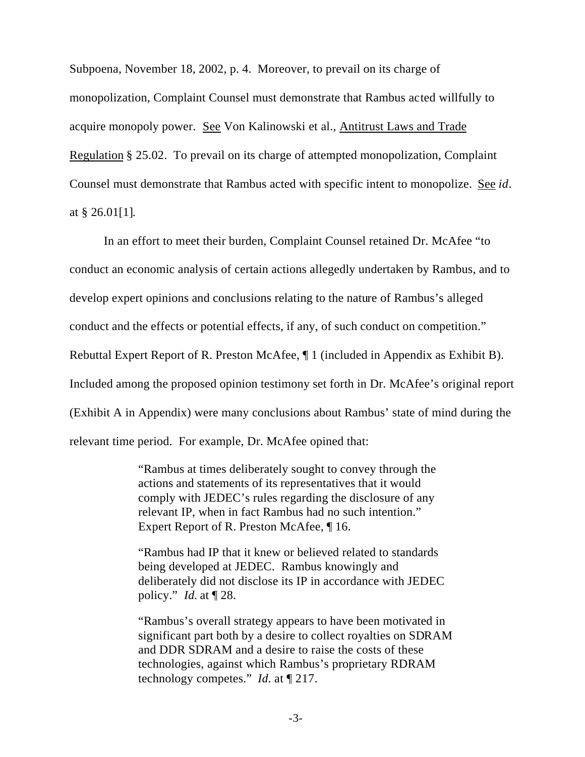Subpoena, November 18, 2002, p. 4. Moreover, to prevail on its charge of monopolization, Complaint Counsel must demonstrate that Rambus acted willfully to acquire monopoly power. See Von Kalinowski et al., Antitrust Laws and Trade Regulation § 25.02. To prevail on its charge of attempted monopolization, Complaint Counsel must demonstrate that Rambus acted with specific intent to monopolize. See *id*. at § 26.01[1].

In an effort to meet their burden, Complaint Counsel retained Dr. McAfee "to conduct an economic analysis of certain actions allegedly undertaken by Rambus, and to develop expert opinions and conclusions relating to the nature of Rambus's alleged conduct and the effects or potential effects, if any, of such conduct on competition." Rebuttal Expert Report of R. Preston McAfee, ¶ 1 (included in Appendix as Exhibit B). Included among the proposed opinion testimony set forth in Dr. McAfee's original report (Exhibit A in Appendix) were many conclusions about Rambus' state of mind during the relevant time period. For example, Dr. McAfee opined that:

> "Rambus at times deliberately sought to convey through the actions and statements of its representatives that it would comply with JEDEC's rules regarding the disclosure of any relevant IP, when in fact Rambus had no such intention." Expert Report of R. Preston McAfee, ¶ 16.

"Rambus had IP that it knew or believed related to standards being developed at JEDEC. Rambus knowingly and deliberately did not disclose its IP in accordance with JEDEC policy." *Id.* at ¶ 28.

"Rambus's overall strategy appears to have been motivated in significant part both by a desire to collect royalties on SDRAM and DDR SDRAM and a desire to raise the costs of these technologies, against which Rambus's proprietary RDRAM technology competes." *Id.* at ¶ 217.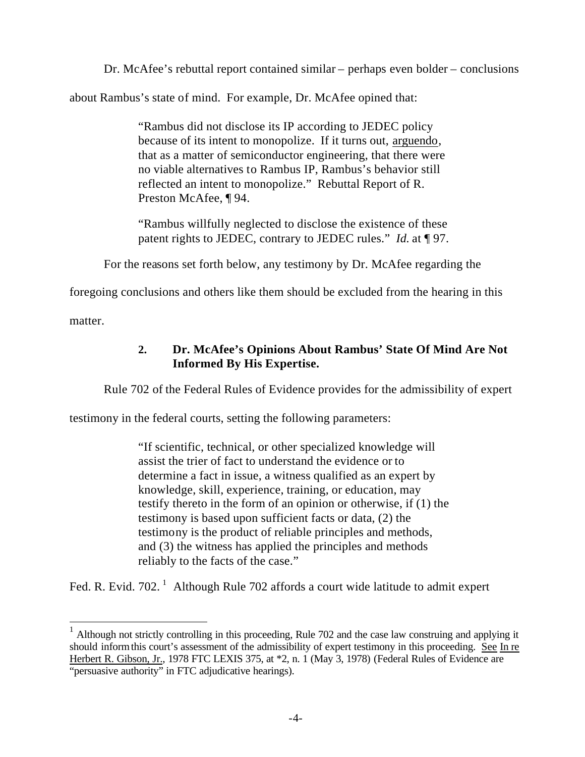Dr. McAfee's rebuttal report contained similar – perhaps even bolder – conclusions

about Rambus's state of mind. For example, Dr. McAfee opined that:

"Rambus did not disclose its IP according to JEDEC policy because of its intent to monopolize. If it turns out, arguendo, that as a matter of semiconductor engineering, that there were no viable alternatives to Rambus IP, Rambus's behavior still reflected an intent to monopolize." Rebuttal Report of R. Preston McAfee, ¶ 94.

"Rambus willfully neglected to disclose the existence of these patent rights to JEDEC, contrary to JEDEC rules." *Id.* at ¶ 97.

For the reasons set forth below, any testimony by Dr. McAfee regarding the

foregoing conclusions and others like them should be excluded from the hearing in this

matter.

 $\overline{a}$ 

### **2. Dr. McAfee's Opinions About Rambus' State Of Mind Are Not Informed By His Expertise.**

Rule 702 of the Federal Rules of Evidence provides for the admissibility of expert

testimony in the federal courts, setting the following parameters:

"If scientific, technical, or other specialized knowledge will assist the trier of fact to understand the evidence or to determine a fact in issue, a witness qualified as an expert by knowledge, skill, experience, training, or education, may testify thereto in the form of an opinion or otherwise, if (1) the testimony is based upon sufficient facts or data, (2) the testimony is the product of reliable principles and methods, and (3) the witness has applied the principles and methods reliably to the facts of the case."

Fed. R. Evid. 702.  $^1$  Although Rule 702 affords a court wide latitude to admit expert

 $1$  Although not strictly controlling in this proceeding, Rule 702 and the case law construing and applying it should inform this court's assessment of the admissibility of expert testimony in this proceeding. See In re Herbert R. Gibson, Jr., 1978 FTC LEXIS 375, at \*2, n. 1 (May 3, 1978) (Federal Rules of Evidence are "persuasive authority" in FTC adjudicative hearings).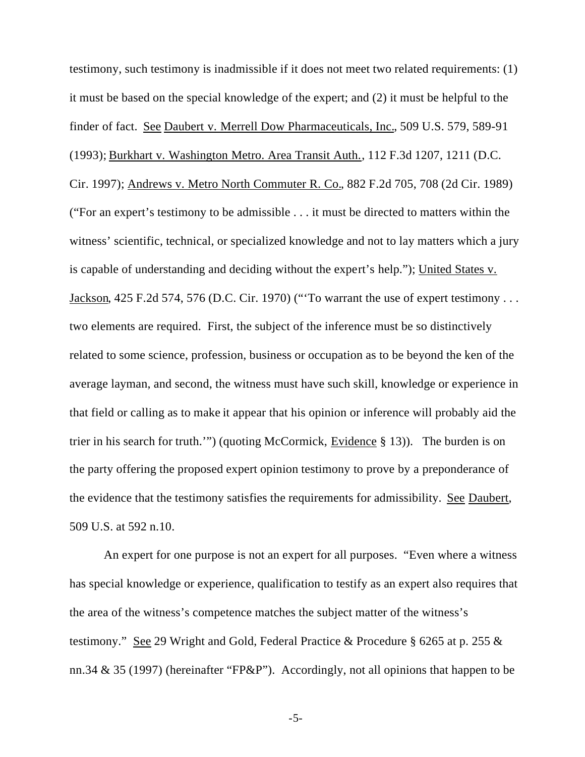testimony, such testimony is inadmissible if it does not meet two related requirements: (1) it must be based on the special knowledge of the expert; and (2) it must be helpful to the finder of fact. See Daubert v. Merrell Dow Pharmaceuticals, Inc., 509 U.S. 579, 589-91 (1993); Burkhart v. Washington Metro. Area Transit Auth., 112 F.3d 1207, 1211 (D.C. Cir. 1997); Andrews v. Metro North Commuter R. Co., 882 F.2d 705, 708 (2d Cir. 1989) ("For an expert's testimony to be admissible . . . it must be directed to matters within the witness' scientific, technical, or specialized knowledge and not to lay matters which a jury is capable of understanding and deciding without the expert's help."); United States v. Jackson, 425 F.2d 574, 576 (D.C. Cir. 1970) ("'To warrant the use of expert testimony . . . two elements are required. First, the subject of the inference must be so distinctively related to some science, profession, business or occupation as to be beyond the ken of the average layman, and second, the witness must have such skill, knowledge or experience in that field or calling as to make it appear that his opinion or inference will probably aid the trier in his search for truth.'") (quoting McCormick, Evidence § 13)). The burden is on the party offering the proposed expert opinion testimony to prove by a preponderance of the evidence that the testimony satisfies the requirements for admissibility. See Daubert, 509 U.S. at 592 n.10.

An expert for one purpose is not an expert for all purposes. "Even where a witness has special knowledge or experience, qualification to testify as an expert also requires that the area of the witness's competence matches the subject matter of the witness's testimony." See 29 Wright and Gold, Federal Practice & Procedure § 6265 at p. 255 & nn.34 & 35 (1997) (hereinafter "FP&P"). Accordingly, not all opinions that happen to be

-5-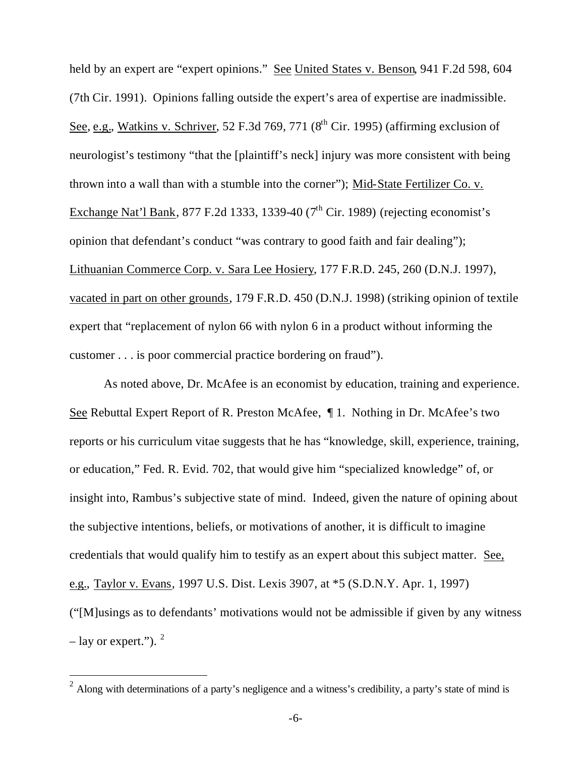held by an expert are "expert opinions." See United States v. Benson, 941 F.2d 598, 604 (7th Cir. 1991). Opinions falling outside the expert's area of expertise are inadmissible. See, e.g., Watkins v. Schriver, 52 F.3d 769, 771  $(8^{th}$  Cir. 1995) (affirming exclusion of neurologist's testimony "that the [plaintiff's neck] injury was more consistent with being thrown into a wall than with a stumble into the corner"); Mid-State Fertilizer Co. v. Exchange Nat'l Bank, 877 F.2d 1333, 1339-40 ( $7<sup>th</sup>$  Cir. 1989) (rejecting economist's opinion that defendant's conduct "was contrary to good faith and fair dealing"); Lithuanian Commerce Corp. v. Sara Lee Hosiery, 177 F.R.D. 245, 260 (D.N.J. 1997), vacated in part on other grounds, 179 F.R.D. 450 (D.N.J. 1998) (striking opinion of textile expert that "replacement of nylon 66 with nylon 6 in a product without informing the customer . . . is poor commercial practice bordering on fraud").

As noted above, Dr. McAfee is an economist by education, training and experience. See Rebuttal Expert Report of R. Preston McAfee, ¶ 1. Nothing in Dr. McAfee's two reports or his curriculum vitae suggests that he has "knowledge, skill, experience, training, or education," Fed. R. Evid. 702, that would give him "specialized knowledge" of, or insight into, Rambus's subjective state of mind. Indeed, given the nature of opining about the subjective intentions, beliefs, or motivations of another, it is difficult to imagine credentials that would qualify him to testify as an expert about this subject matter. See, e.g., Taylor v. Evans, 1997 U.S. Dist. Lexis 3907, at \*5 (S.D.N.Y. Apr. 1, 1997) ("[M]usings as to defendants' motivations would not be admissible if given by any witness  $-$  lay or expert.").  $2$ 

 $\overline{a}$ 

<sup>&</sup>lt;sup>2</sup> Along with determinations of a party's negligence and a witness's credibility, a party's state of mind is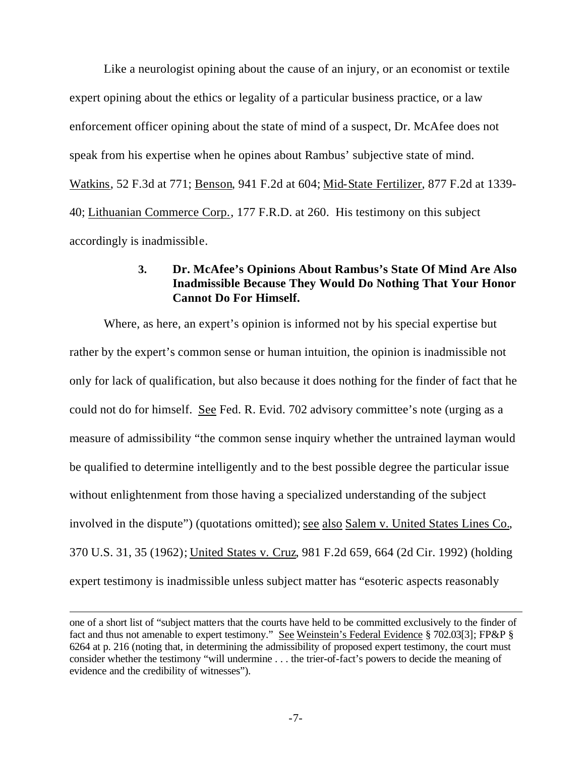Like a neurologist opining about the cause of an injury, or an economist or textile expert opining about the ethics or legality of a particular business practice, or a law enforcement officer opining about the state of mind of a suspect, Dr. McAfee does not speak from his expertise when he opines about Rambus' subjective state of mind. Watkins, 52 F.3d at 771; Benson, 941 F.2d at 604; Mid-State Fertilizer, 877 F.2d at 1339- 40; Lithuanian Commerce Corp., 177 F.R.D. at 260. His testimony on this subject accordingly is inadmissible.

#### **3. Dr. McAfee's Opinions About Rambus's State Of Mind Are Also Inadmissible Because They Would Do Nothing That Your Honor Cannot Do For Himself.**

Where, as here, an expert's opinion is informed not by his special expertise but rather by the expert's common sense or human intuition, the opinion is inadmissible not only for lack of qualification, but also because it does nothing for the finder of fact that he could not do for himself. See Fed. R. Evid. 702 advisory committee's note (urging as a measure of admissibility "the common sense inquiry whether the untrained layman would be qualified to determine intelligently and to the best possible degree the particular issue without enlightenment from those having a specialized understanding of the subject involved in the dispute") (quotations omitted); see also Salem v. United States Lines Co., 370 U.S. 31, 35 (1962); United States v. Cruz, 981 F.2d 659, 664 (2d Cir. 1992) (holding expert testimony is inadmissible unless subject matter has "esoteric aspects reasonably

 $\overline{a}$ 

one of a short list of "subject matters that the courts have held to be committed exclusively to the finder of fact and thus not amenable to expert testimony." See Weinstein's Federal Evidence § 702.03[3]; FP&P § 6264 at p. 216 (noting that, in determining the admissibility of proposed expert testimony, the court must consider whether the testimony "will undermine . . . the trier-of-fact's powers to decide the meaning of evidence and the credibility of witnesses").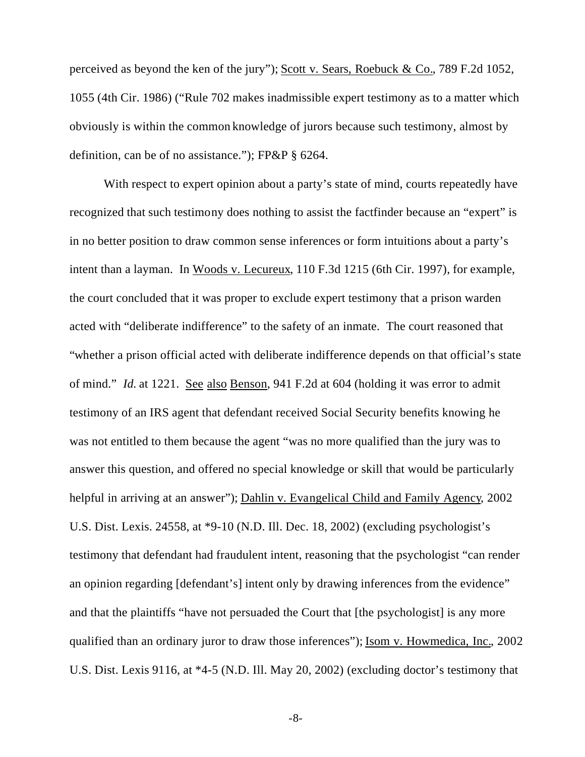perceived as beyond the ken of the jury"); Scott v. Sears, Roebuck & Co., 789 F.2d 1052, 1055 (4th Cir. 1986) ("Rule 702 makes inadmissible expert testimony as to a matter which obviously is within the common knowledge of jurors because such testimony, almost by definition, can be of no assistance."); FP&P § 6264.

With respect to expert opinion about a party's state of mind, courts repeatedly have recognized that such testimony does nothing to assist the factfinder because an "expert" is in no better position to draw common sense inferences or form intuitions about a party's intent than a layman. In Woods v. Lecureux, 110 F.3d 1215 (6th Cir. 1997), for example, the court concluded that it was proper to exclude expert testimony that a prison warden acted with "deliberate indifference" to the safety of an inmate. The court reasoned that "whether a prison official acted with deliberate indifference depends on that official's state of mind." *Id.* at 1221. See also Benson, 941 F.2d at 604 (holding it was error to admit testimony of an IRS agent that defendant received Social Security benefits knowing he was not entitled to them because the agent "was no more qualified than the jury was to answer this question, and offered no special knowledge or skill that would be particularly helpful in arriving at an answer"); Dahlin v. Evangelical Child and Family Agency, 2002 U.S. Dist. Lexis. 24558, at \*9-10 (N.D. Ill. Dec. 18, 2002) (excluding psychologist's testimony that defendant had fraudulent intent, reasoning that the psychologist "can render an opinion regarding [defendant's] intent only by drawing inferences from the evidence" and that the plaintiffs "have not persuaded the Court that [the psychologist] is any more qualified than an ordinary juror to draw those inferences"); Isom v. Howmedica, Inc., 2002 U.S. Dist. Lexis 9116, at \*4-5 (N.D. Ill. May 20, 2002) (excluding doctor's testimony that

-8-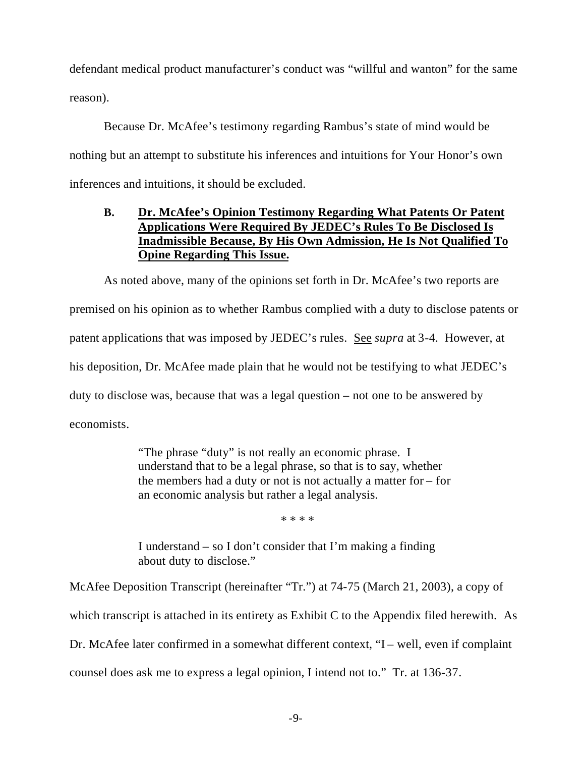defendant medical product manufacturer's conduct was "willful and wanton" for the same reason).

Because Dr. McAfee's testimony regarding Rambus's state of mind would be nothing but an attempt to substitute his inferences and intuitions for Your Honor's own inferences and intuitions, it should be excluded.

#### **B. Dr. McAfee's Opinion Testimony Regarding What Patents Or Patent Applications Were Required By JEDEC's Rules To Be Disclosed Is Inadmissible Because, By His Own Admission, He Is Not Qualified To Opine Regarding This Issue.**

As noted above, many of the opinions set forth in Dr. McAfee's two reports are premised on his opinion as to whether Rambus complied with a duty to disclose patents or patent applications that was imposed by JEDEC's rules. See *supra* at 3-4. However, at his deposition, Dr. McAfee made plain that he would not be testifying to what JEDEC's duty to disclose was, because that was a legal question – not one to be answered by economists.

> "The phrase "duty" is not really an economic phrase. I understand that to be a legal phrase, so that is to say, whether the members had a duty or not is not actually a matter for – for an economic analysis but rather a legal analysis.

> > \* \* \* \*

I understand – so I don't consider that I'm making a finding about duty to disclose."

McAfee Deposition Transcript (hereinafter "Tr.") at 74-75 (March 21, 2003), a copy of

which transcript is attached in its entirety as Exhibit C to the Appendix filed herewith. As

Dr. McAfee later confirmed in a somewhat different context, "I – well, even if complaint

counsel does ask me to express a legal opinion, I intend not to." Tr. at 136-37.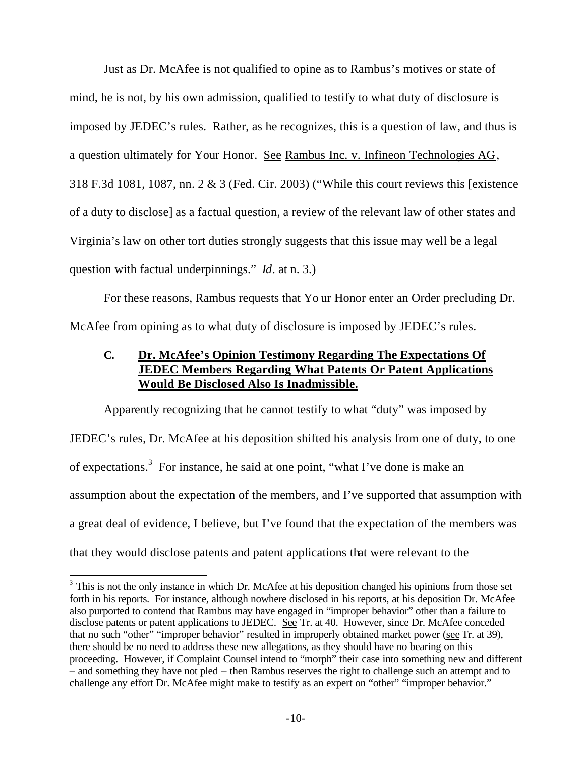Just as Dr. McAfee is not qualified to opine as to Rambus's motives or state of mind, he is not, by his own admission, qualified to testify to what duty of disclosure is imposed by JEDEC's rules. Rather, as he recognizes, this is a question of law, and thus is a question ultimately for Your Honor. See Rambus Inc. v. Infineon Technologies AG, 318 F.3d 1081, 1087, nn. 2 & 3 (Fed. Cir. 2003) ("While this court reviews this [existence of a duty to disclose] as a factual question, a review of the relevant law of other states and Virginia's law on other tort duties strongly suggests that this issue may well be a legal question with factual underpinnings." *Id*. at n. 3.)

For these reasons, Rambus requests that Yo ur Honor enter an Order precluding Dr. McAfee from opining as to what duty of disclosure is imposed by JEDEC's rules.

### **C. Dr. McAfee's Opinion Testimony Regarding The Expectations Of JEDEC Members Regarding What Patents Or Patent Applications Would Be Disclosed Also Is Inadmissible.**

Apparently recognizing that he cannot testify to what "duty" was imposed by JEDEC's rules, Dr. McAfee at his deposition shifted his analysis from one of duty, to one of expectations.<sup>3</sup> For instance, he said at one point, "what I've done is make an assumption about the expectation of the members, and I've supported that assumption with a great deal of evidence, I believe, but I've found that the expectation of the members was that they would disclose patents and patent applications that were relevant to the

 $\overline{a}$ 

 $3$  This is not the only instance in which Dr. McAfee at his deposition changed his opinions from those set forth in his reports. For instance, although nowhere disclosed in his reports, at his deposition Dr. McAfee also purported to contend that Rambus may have engaged in "improper behavior" other than a failure to disclose patents or patent applications to JEDEC. See Tr. at 40. However, since Dr. McAfee conceded that no such "other" "improper behavior" resulted in improperly obtained market power (see Tr. at 39), there should be no need to address these new allegations, as they should have no bearing on this proceeding. However, if Complaint Counsel intend to "morph" their case into something new and different – and something they have not pled – then Rambus reserves the right to challenge such an attempt and to challenge any effort Dr. McAfee might make to testify as an expert on "other" "improper behavior."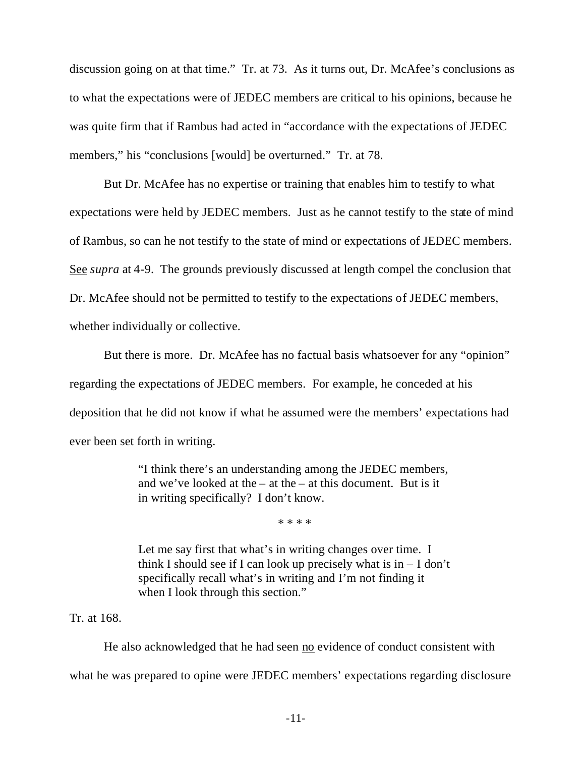discussion going on at that time." Tr. at 73. As it turns out, Dr. McAfee's conclusions as to what the expectations were of JEDEC members are critical to his opinions, because he was quite firm that if Rambus had acted in "accordance with the expectations of JEDEC members," his "conclusions [would] be overturned." Tr. at 78.

But Dr. McAfee has no expertise or training that enables him to testify to what expectations were held by JEDEC members. Just as he cannot testify to the state of mind of Rambus, so can he not testify to the state of mind or expectations of JEDEC members. See *supra* at 4-9. The grounds previously discussed at length compel the conclusion that Dr. McAfee should not be permitted to testify to the expectations of JEDEC members, whether individually or collective.

But there is more. Dr. McAfee has no factual basis whatsoever for any "opinion" regarding the expectations of JEDEC members. For example, he conceded at his deposition that he did not know if what he assumed were the members' expectations had ever been set forth in writing.

> "I think there's an understanding among the JEDEC members, and we've looked at the – at the – at this document. But is it in writing specifically? I don't know.

> > \* \* \* \*

Let me say first that what's in writing changes over time. I think I should see if I can look up precisely what is  $in - I$  don't specifically recall what's in writing and I'm not finding it when I look through this section."

#### Tr. at 168.

He also acknowledged that he had seen no evidence of conduct consistent with what he was prepared to opine were JEDEC members' expectations regarding disclosure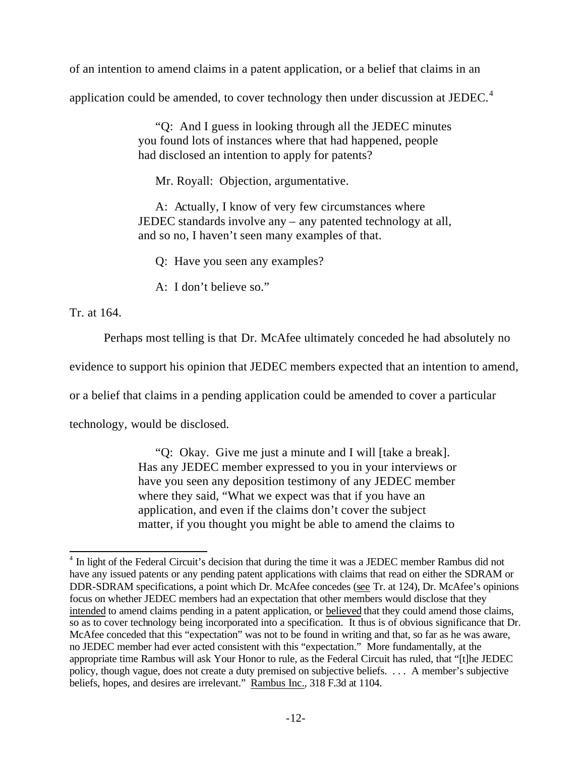of an intention to amend claims in a patent application, or a belief that claims in an

application could be amended, to cover technology then under discussion at JEDEC.<sup>4</sup>

"Q: And I guess in looking through all the JEDEC minutes you found lots of instances where that had happened, people had disclosed an intention to apply for patents?

Mr. Royall: Objection, argumentative.

A: Actually, I know of very few circumstances where JEDEC standards involve any – any patented technology at all, and so no, I haven't seen many examples of that.

Q: Have you seen any examples?

A: I don't believe so."

Tr. at 164.

Perhaps most telling is that Dr. McAfee ultimately conceded he had absolutely no

evidence to support his opinion that JEDEC members expected that an intention to amend,

or a belief that claims in a pending application could be amended to cover a particular

technology, would be disclosed.

"Q: Okay. Give me just a minute and I will [take a break]. Has any JEDEC member expressed to you in your interviews or have you seen any deposition testimony of any JEDEC member where they said, "What we expect was that if you have an application, and even if the claims don't cover the subject matter, if you thought you might be able to amend the claims to

 $\overline{a}$ <sup>4</sup> In light of the Federal Circuit's decision that during the time it was a JEDEC member Rambus did not have any issued patents or any pending patent applications with claims that read on either the SDRAM or DDR-SDRAM specifications, a point which Dr. McAfee concedes (see Tr. at 124), Dr. McAfee's opinions focus on whether JEDEC members had an expectation that other members would disclose that they intended to amend claims pending in a patent application, or believed that they could amend those claims, so as to cover technology being incorporated into a specification. It thus is of obvious significance that Dr. McAfee conceded that this "expectation" was not to be found in writing and that, so far as he was aware, no JEDEC member had ever acted consistent with this "expectation." More fundamentally, at the appropriate time Rambus will ask Your Honor to rule, as the Federal Circuit has ruled, that "[t]he JEDEC policy, though vague, does not create a duty premised on subjective beliefs. . . . A member's subjective beliefs, hopes, and desires are irrelevant." Rambus Inc., 318 F.3d at 1104.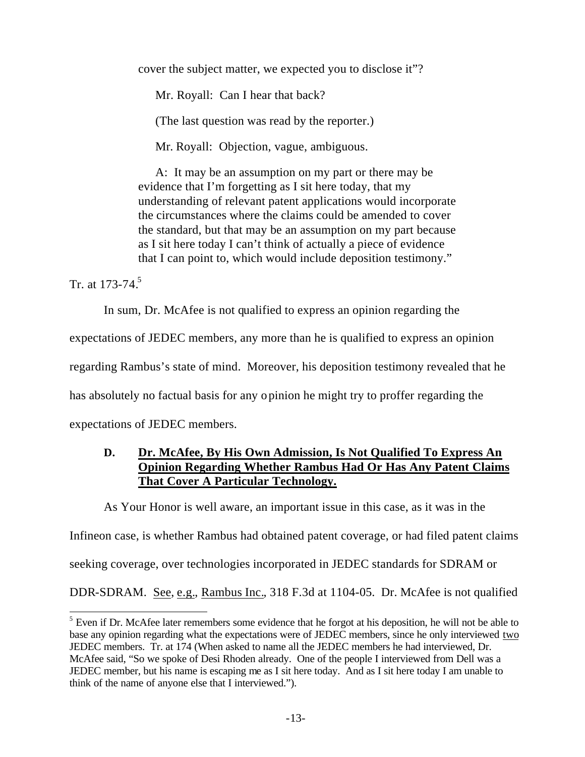cover the subject matter, we expected you to disclose it"?

Mr. Royall: Can I hear that back?

(The last question was read by the reporter.)

Mr. Royall: Objection, vague, ambiguous.

A: It may be an assumption on my part or there may be evidence that I'm forgetting as I sit here today, that my understanding of relevant patent applications would incorporate the circumstances where the claims could be amended to cover the standard, but that may be an assumption on my part because as I sit here today I can't think of actually a piece of evidence that I can point to, which would include deposition testimony."

Tr. at  $173 - 74$ <sup>5</sup>

In sum, Dr. McAfee is not qualified to express an opinion regarding the

expectations of JEDEC members, any more than he is qualified to express an opinion

regarding Rambus's state of mind. Moreover, his deposition testimony revealed that he

has absolutely no factual basis for any opinion he might try to proffer regarding the

expectations of JEDEC members.

### **D. Dr. McAfee, By His Own Admission, Is Not Qualified To Express An Opinion Regarding Whether Rambus Had Or Has Any Patent Claims That Cover A Particular Technology.**

As Your Honor is well aware, an important issue in this case, as it was in the

Infineon case, is whether Rambus had obtained patent coverage, or had filed patent claims

seeking coverage, over technologies incorporated in JEDEC standards for SDRAM or

DDR-SDRAM. See, e.g., Rambus Inc., 318 F.3d at 1104-05. Dr. McAfee is not qualified

 $\overline{\phantom{a}}$  $<sup>5</sup>$  Even if Dr. McAfee later remembers some evidence that he forgot at his deposition, he will not be able to</sup> base any opinion regarding what the expectations were of JEDEC members, since he only interviewed two JEDEC members. Tr. at 174 (When asked to name all the JEDEC members he had interviewed, Dr. McAfee said, "So we spoke of Desi Rhoden already. One of the people I interviewed from Dell was a JEDEC member, but his name is escaping me as I sit here today. And as I sit here today I am unable to think of the name of anyone else that I interviewed.").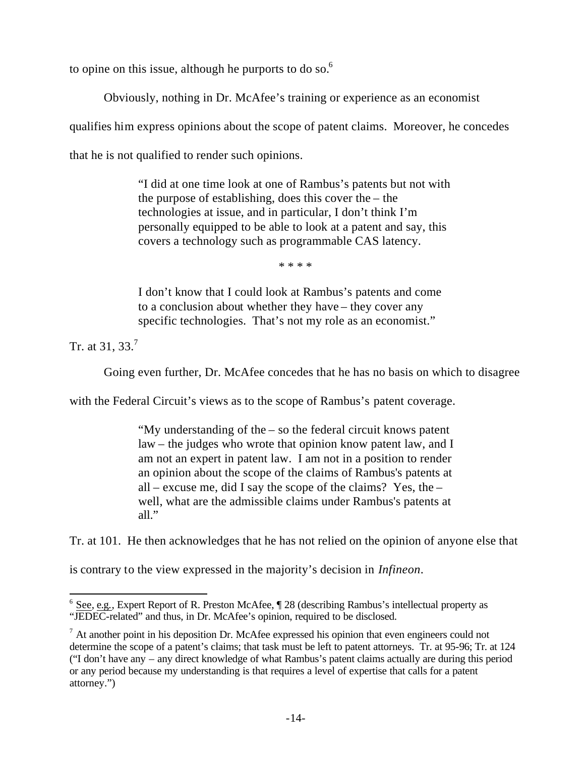to opine on this issue, although he purports to do so. $<sup>6</sup>$ </sup>

Obviously, nothing in Dr. McAfee's training or experience as an economist

qualifies him express opinions about the scope of patent claims. Moreover, he concedes

that he is not qualified to render such opinions.

"I did at one time look at one of Rambus's patents but not with the purpose of establishing, does this cover the – the technologies at issue, and in particular, I don't think I'm personally equipped to be able to look at a patent and say, this covers a technology such as programmable CAS latency.

\* \* \* \*

I don't know that I could look at Rambus's patents and come to a conclusion about whether they have – they cover any specific technologies. That's not my role as an economist."

Tr. at 31, 33.<sup>7</sup>

 $\overline{a}$ 

Going even further, Dr. McAfee concedes that he has no basis on which to disagree

with the Federal Circuit's views as to the scope of Rambus's patent coverage.

"My understanding of the – so the federal circuit knows patent law – the judges who wrote that opinion know patent law, and I am not an expert in patent law. I am not in a position to render an opinion about the scope of the claims of Rambus's patents at all – excuse me, did I say the scope of the claims? Yes, the – well, what are the admissible claims under Rambus's patents at all."

Tr. at 101. He then acknowledges that he has not relied on the opinion of anyone else that

is contrary to the view expressed in the majority's decision in *Infineon*.

 $6$  See, e.g., Expert Report of R. Preston McAfee,  $\P$  28 (describing Rambus's intellectual property as "JEDEC-related" and thus, in Dr. McAfee's opinion, required to be disclosed.

 $<sup>7</sup>$  At another point in his deposition Dr. McAfee expressed his opinion that even engineers could not</sup> determine the scope of a patent's claims; that task must be left to patent attorneys. Tr. at 95-96; Tr. at 124 ("I don't have any – any direct knowledge of what Rambus's patent claims actually are during this period or any period because my understanding is that requires a level of expertise that calls for a patent attorney.")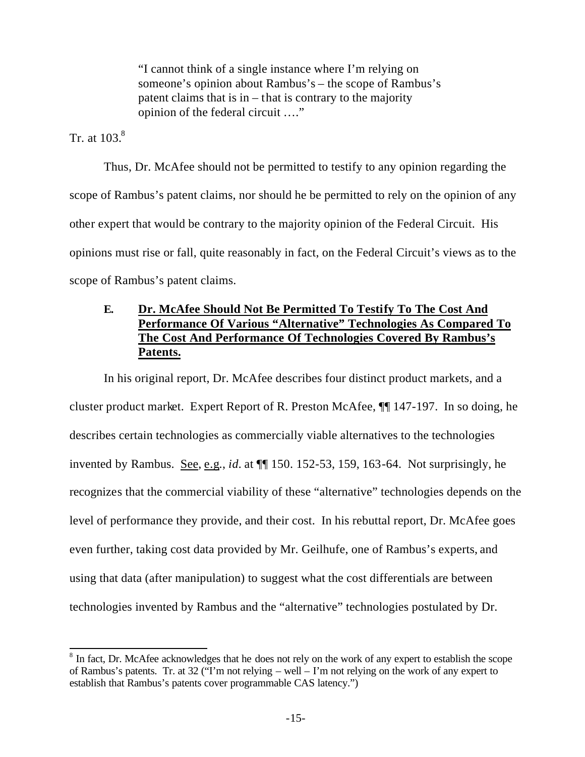"I cannot think of a single instance where I'm relying on someone's opinion about Rambus's – the scope of Rambus's patent claims that is in – that is contrary to the majority opinion of the federal circuit …."

Tr. at  $103<sup>8</sup>$ 

Thus, Dr. McAfee should not be permitted to testify to any opinion regarding the scope of Rambus's patent claims, nor should he be permitted to rely on the opinion of any other expert that would be contrary to the majority opinion of the Federal Circuit. His opinions must rise or fall, quite reasonably in fact, on the Federal Circuit's views as to the scope of Rambus's patent claims.

### **E. Dr. McAfee Should Not Be Permitted To Testify To The Cost And Performance Of Various "Alternative" Technologies As Compared To The Cost And Performance Of Technologies Covered By Rambus's Patents.**

In his original report, Dr. McAfee describes four distinct product markets, and a cluster product market. Expert Report of R. Preston McAfee, ¶¶ 147-197. In so doing, he describes certain technologies as commercially viable alternatives to the technologies invented by Rambus. See, e.g., *id.* at ¶¶ 150. 152-53, 159, 163-64. Not surprisingly, he recognizes that the commercial viability of these "alternative" technologies depends on the level of performance they provide, and their cost. In his rebuttal report, Dr. McAfee goes even further, taking cost data provided by Mr. Geilhufe, one of Rambus's experts, and using that data (after manipulation) to suggest what the cost differentials are between technologies invented by Rambus and the "alternative" technologies postulated by Dr.

<sup>&</sup>lt;sup>8</sup> In fact, Dr. McAfee acknowledges that he does not rely on the work of any expert to establish the scope of Rambus's patents. Tr. at 32 ("I'm not relying – well – I'm not relying on the work of any expert to establish that Rambus's patents cover programmable CAS latency.")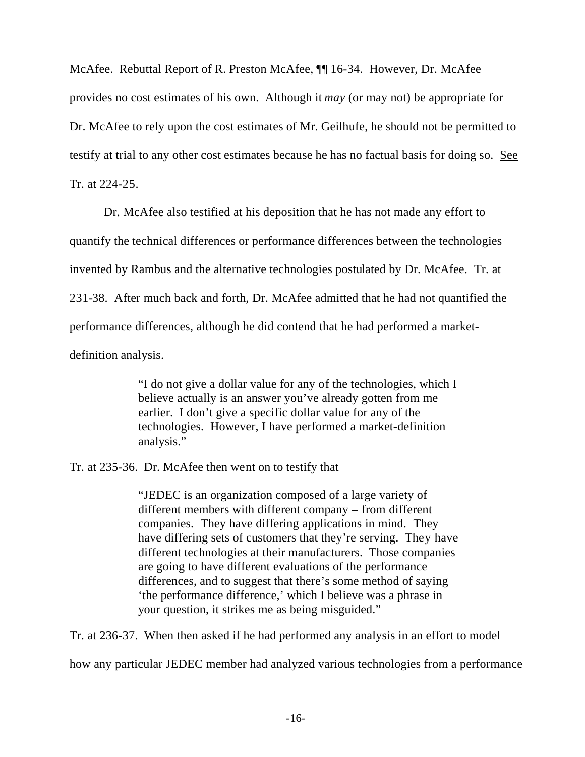McAfee. Rebuttal Report of R. Preston McAfee, ¶¶ 16-34. However, Dr. McAfee provides no cost estimates of his own. Although it *may* (or may not) be appropriate for Dr. McAfee to rely upon the cost estimates of Mr. Geilhufe, he should not be permitted to testify at trial to any other cost estimates because he has no factual basis for doing so. See Tr. at 224-25.

Dr. McAfee also testified at his deposition that he has not made any effort to quantify the technical differences or performance differences between the technologies invented by Rambus and the alternative technologies postulated by Dr. McAfee. Tr. at 231-38. After much back and forth, Dr. McAfee admitted that he had not quantified the performance differences, although he did contend that he had performed a marketdefinition analysis.

> "I do not give a dollar value for any of the technologies, which I believe actually is an answer you've already gotten from me earlier. I don't give a specific dollar value for any of the technologies. However, I have performed a market-definition analysis."

Tr. at 235-36. Dr. McAfee then went on to testify that

"JEDEC is an organization composed of a large variety of different members with different company – from different companies. They have differing applications in mind. They have differing sets of customers that they're serving. They have different technologies at their manufacturers. Those companies are going to have different evaluations of the performance differences, and to suggest that there's some method of saying 'the performance difference,' which I believe was a phrase in your question, it strikes me as being misguided."

Tr. at 236-37. When then asked if he had performed any analysis in an effort to model

how any particular JEDEC member had analyzed various technologies from a performance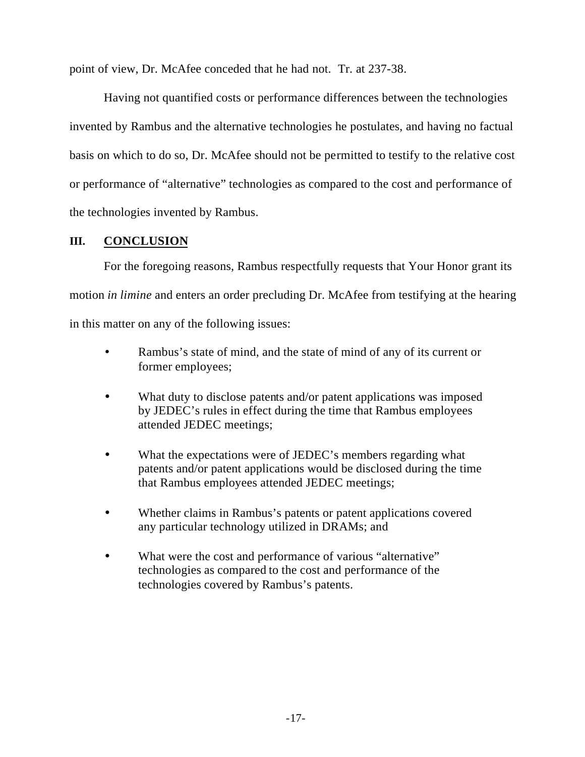point of view, Dr. McAfee conceded that he had not. Tr. at 237-38.

Having not quantified costs or performance differences between the technologies invented by Rambus and the alternative technologies he postulates, and having no factual basis on which to do so, Dr. McAfee should not be permitted to testify to the relative cost or performance of "alternative" technologies as compared to the cost and performance of the technologies invented by Rambus.

#### **III. CONCLUSION**

For the foregoing reasons, Rambus respectfully requests that Your Honor grant its motion *in limine* and enters an order precluding Dr. McAfee from testifying at the hearing in this matter on any of the following issues:

- Rambus's state of mind, and the state of mind of any of its current or former employees;
- What duty to disclose patents and/or patent applications was imposed by JEDEC's rules in effect during the time that Rambus employees attended JEDEC meetings;
- What the expectations were of JEDEC's members regarding what patents and/or patent applications would be disclosed during the time that Rambus employees attended JEDEC meetings;
- Whether claims in Rambus's patents or patent applications covered any particular technology utilized in DRAMs; and
- What were the cost and performance of various "alternative" technologies as compared to the cost and performance of the technologies covered by Rambus's patents.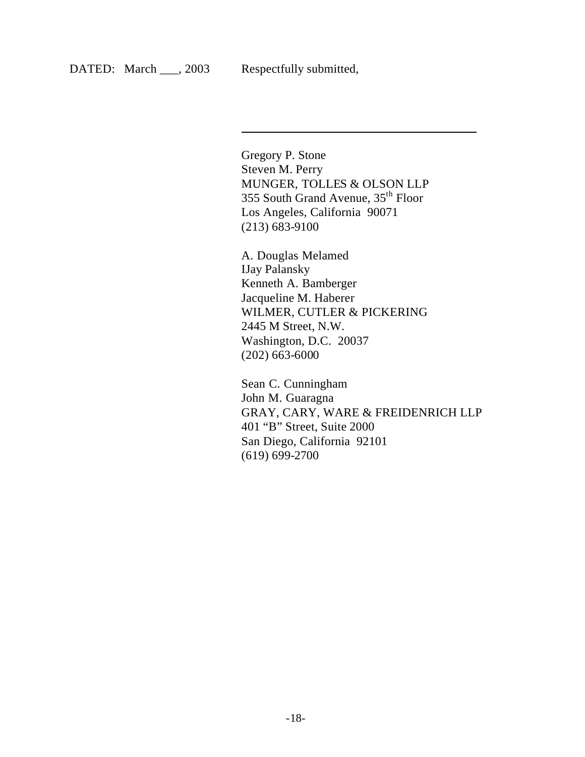$\overline{\phantom{a}}$ 

Gregory P. Stone Steven M. Perry MUNGER, TOLLES & OLSON LLP 355 South Grand Avenue, 35th Floor Los Angeles, California 90071 (213) 683-9100

A. Douglas Melamed IJay Palansky Kenneth A. Bamberger Jacqueline M. Haberer WILMER, CUTLER & PICKERING 2445 M Street, N.W. Washington, D.C. 20037 (202) 663-6000

Sean C. Cunningham John M. Guaragna GRAY, CARY, WARE & FREIDENRICH LLP 401 "B" Street, Suite 2000 San Diego, California 92101 (619) 699-2700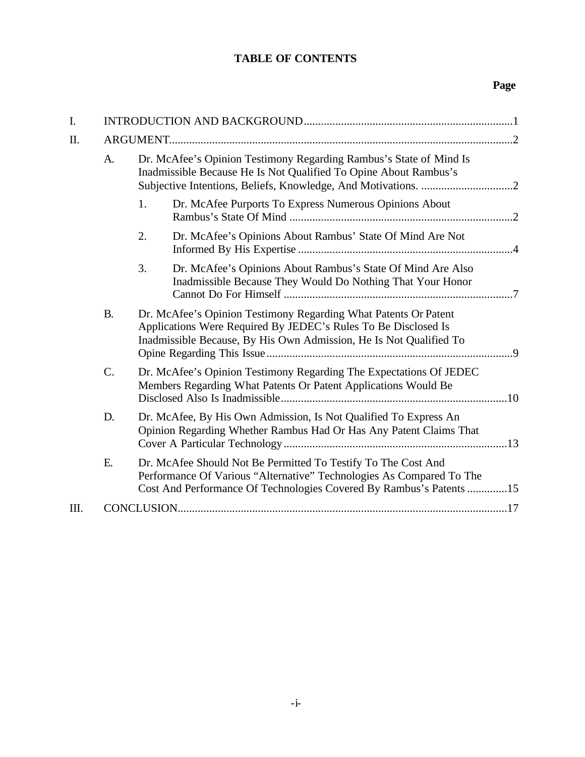## **TABLE OF CONTENTS**

### **Page**

| I. |           |                                                                                                                                                                                                              |  |
|----|-----------|--------------------------------------------------------------------------------------------------------------------------------------------------------------------------------------------------------------|--|
| Π. |           |                                                                                                                                                                                                              |  |
|    | A.        | Dr. McAfee's Opinion Testimony Regarding Rambus's State of Mind Is<br>Inadmissible Because He Is Not Qualified To Opine About Rambus's                                                                       |  |
|    |           | Dr. McAfee Purports To Express Numerous Opinions About<br>1.                                                                                                                                                 |  |
|    |           | 2.<br>Dr. McAfee's Opinions About Rambus' State Of Mind Are Not                                                                                                                                              |  |
|    |           | 3.<br>Dr. McAfee's Opinions About Rambus's State Of Mind Are Also<br>Inadmissible Because They Would Do Nothing That Your Honor                                                                              |  |
|    | <b>B.</b> | Dr. McAfee's Opinion Testimony Regarding What Patents Or Patent<br>Applications Were Required By JEDEC's Rules To Be Disclosed Is<br>Inadmissible Because, By His Own Admission, He Is Not Qualified To      |  |
|    | C.        | Dr. McAfee's Opinion Testimony Regarding The Expectations Of JEDEC<br>Members Regarding What Patents Or Patent Applications Would Be                                                                         |  |
|    | D.        | Dr. McAfee, By His Own Admission, Is Not Qualified To Express An<br>Opinion Regarding Whether Rambus Had Or Has Any Patent Claims That                                                                       |  |
|    | Ε.        | Dr. McAfee Should Not Be Permitted To Testify To The Cost And<br>Performance Of Various "Alternative" Technologies As Compared To The<br>Cost And Performance Of Technologies Covered By Rambus's Patents 15 |  |
| Ш. |           |                                                                                                                                                                                                              |  |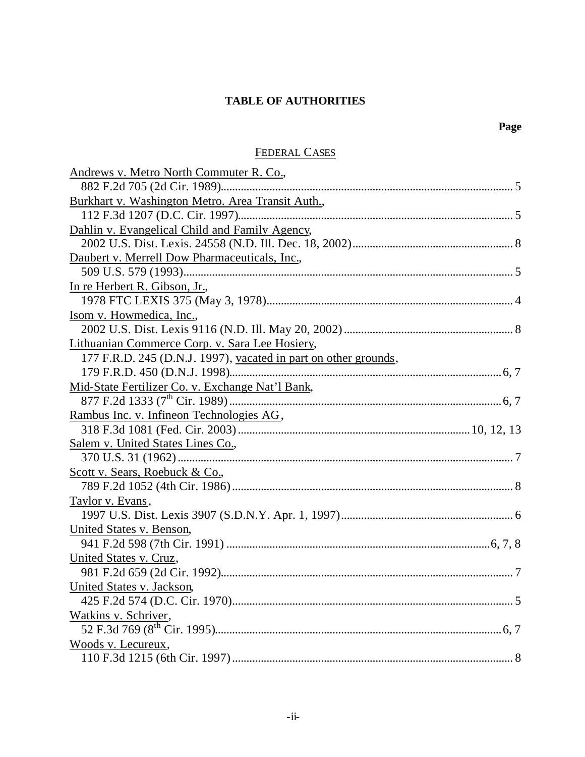## **TABLE OF AUTHORITIES**

### FEDERAL CASES

| Andrews v. Metro North Commuter R. Co.,                         |
|-----------------------------------------------------------------|
|                                                                 |
| Burkhart v. Washington Metro. Area Transit Auth.,               |
|                                                                 |
| Dahlin v. Evangelical Child and Family Agency,                  |
|                                                                 |
| Daubert v. Merrell Dow Pharmaceuticals, Inc.,                   |
|                                                                 |
| In re Herbert R. Gibson, Jr.,                                   |
|                                                                 |
| Isom v. Howmedica, Inc.,                                        |
|                                                                 |
| Lithuanian Commerce Corp. v. Sara Lee Hosiery,                  |
| 177 F.R.D. 245 (D.N.J. 1997), vacated in part on other grounds, |
|                                                                 |
| Mid-State Fertilizer Co. v. Exchange Nat'l Bank,                |
|                                                                 |
| Rambus Inc. v. Infineon Technologies AG,                        |
|                                                                 |
| Salem v. United States Lines Co.,                               |
|                                                                 |
| Scott v. Sears, Roebuck & Co.,                                  |
|                                                                 |
| Taylor v. Evans,                                                |
|                                                                 |
| United States v. Benson,                                        |
|                                                                 |
| United States v. Cruz,                                          |
|                                                                 |
| United States v. Jackson,                                       |
|                                                                 |
| Watkins v. Schriver,                                            |
|                                                                 |
| Woods v. Lecureux,                                              |
|                                                                 |